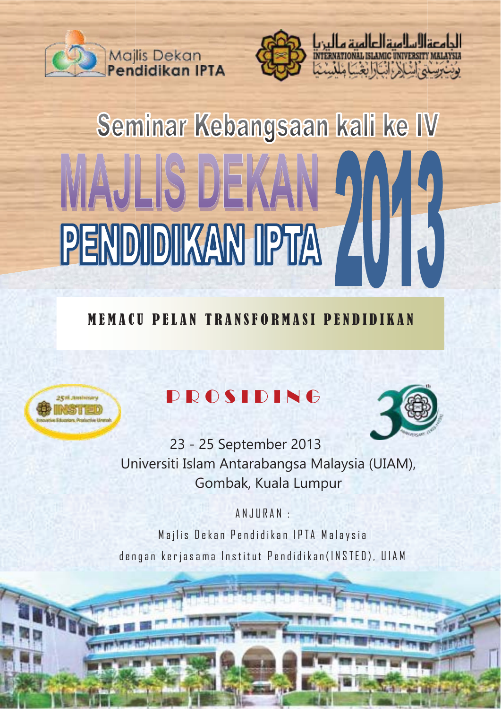



# Seminar Kebangsaan kali ke IV MAJLIS DEKA PENDIDIKAN IPTA

## MEMACU PELAN TRANSFORMASI PENDIDIKAN



# PROSIDING



23 - 25 September 2013 Universiti Islam Antarabangsa Malaysia (UIAM), Gombak, Kuala Lumpur

ANJURAN :

Majlis Dekan Pendidikan IPTA Malaysia dengan kerjasama Institut Pendidikan(INSTED), UIAM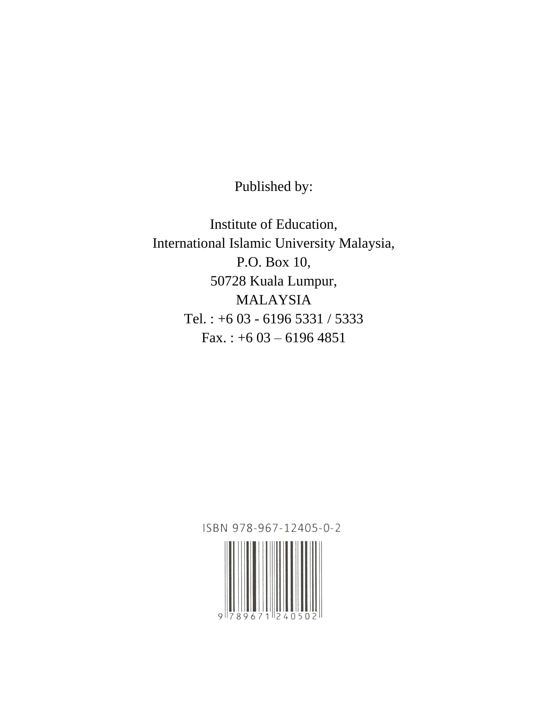Published by:

Institute of Education, International Islamic University Malaysia, P.O. Box 10, 50728 Kuala Lumpur, MALAYSIA Tel. : +6 03 - 6196 5331 / 5333 Fax.:  $+603 - 61964851$ 

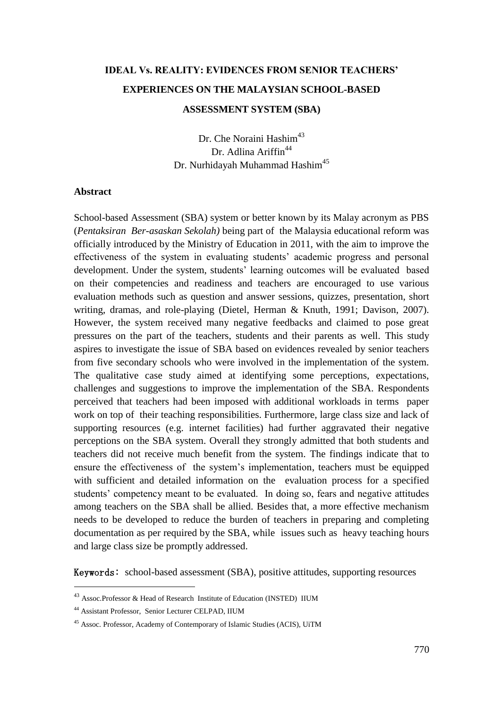## **IDEAL Vs. REALITY: EVIDENCES FROM SENIOR TEACHERS' EXPERIENCES ON THE MALAYSIAN SCHOOL-BASED ASSESSMENT SYSTEM (SBA)**

Dr. Che Noraini Hashim<sup>43</sup> Dr. Adlina Ariffin<sup>44</sup> Dr. Nurhidayah Muhammad Hashim<sup>45</sup>

#### **Abstract**

School-based Assessment (SBA) system or better known by its Malay acronym as PBS (*Pentaksiran Ber-asaskan Sekolah)* being part of the Malaysia educational reform was officially introduced by the Ministry of Education in 2011, with the aim to improve the effectiveness of the system in evaluating students' academic progress and personal development. Under the system, students' learning outcomes will be evaluated based on their competencies and readiness and teachers are encouraged to use various evaluation methods such as question and answer sessions, quizzes, presentation, short writing, dramas, and role-playing (Dietel, Herman & Knuth, 1991; Davison, 2007). However, the system received many negative feedbacks and claimed to pose great pressures on the part of the teachers, students and their parents as well. This study aspires to investigate the issue of SBA based on evidences revealed by senior teachers from five secondary schools who were involved in the implementation of the system. The qualitative case study aimed at identifying some perceptions, expectations, challenges and suggestions to improve the implementation of the SBA. Respondents perceived that teachers had been imposed with additional workloads in terms paper work on top of their teaching responsibilities. Furthermore, large class size and lack of supporting resources (e.g. internet facilities) had further aggravated their negative perceptions on the SBA system. Overall they strongly admitted that both students and teachers did not receive much benefit from the system. The findings indicate that to ensure the effectiveness of the system's implementation, teachers must be equipped with sufficient and detailed information on the evaluation process for a specified students' competency meant to be evaluated. In doing so, fears and negative attitudes among teachers on the SBA shall be allied. Besides that, a more effective mechanism needs to be developed to reduce the burden of teachers in preparing and completing documentation as per required by the SBA, while issues such as heavy teaching hours and large class size be promptly addressed.

Keywords: school-based assessment (SBA), positive attitudes, supporting resources

 $\overline{a}$ 

<sup>43</sup> Assoc.Professor & Head of Research Institute of Education (INSTED) IIUM

<sup>44</sup> Assistant Professor, Senior Lecturer CELPAD, IIUM

<sup>45</sup> Assoc. Professor, Academy of Contemporary of Islamic Studies (ACIS), UiTM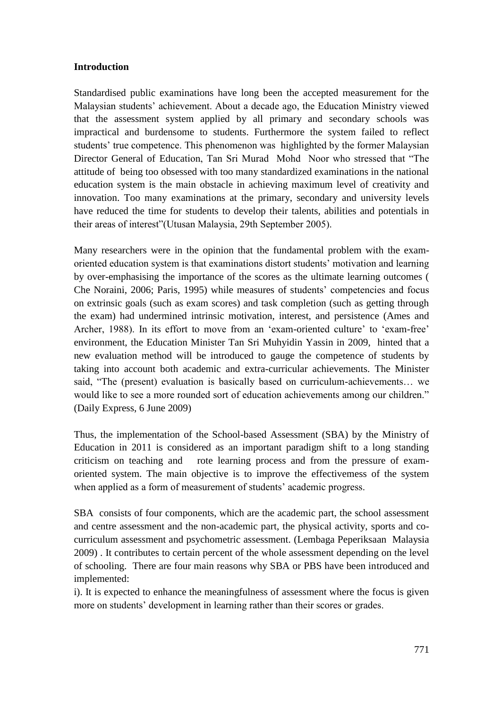#### **Introduction**

Standardised public examinations have long been the accepted measurement for the Malaysian students' achievement. About a decade ago, the Education Ministry viewed that the assessment system applied by all primary and secondary schools was impractical and burdensome to students. Furthermore the system failed to reflect students' true competence. This phenomenon was highlighted by the former Malaysian Director General of Education, Tan Sri Murad Mohd Noor who stressed that "The attitude of being too obsessed with too many standardized examinations in the national education system is the main obstacle in achieving maximum level of creativity and innovation. Too many examinations at the primary, secondary and university levels have reduced the time for students to develop their talents, abilities and potentials in their areas of interest" (Utusan Malaysia, 29th September 2005).

Many researchers were in the opinion that the fundamental problem with the examoriented education system is that examinations distort students' motivation and learning by over-emphasising the importance of the scores as the ultimate learning outcomes ( Che Noraini, 2006; Paris, 1995) while measures of students' competencies and focus on extrinsic goals (such as exam scores) and task completion (such as getting through the exam) had undermined intrinsic motivation, interest, and persistence (Ames and Archer, 1988). In its effort to move from an 'exam-oriented culture' to 'exam-free' environment, the Education Minister Tan Sri Muhyidin Yassin in 2009, hinted that a new evaluation method will be introduced to gauge the competence of students by taking into account both academic and extra-curricular achievements. The Minister said, "The (present) evaluation is basically based on curriculum-achievements... we would like to see a more rounded sort of education achievements among our children." (Daily Express, 6 June 2009)

Thus, the implementation of the School-based Assessment (SBA) by the Ministry of Education in 2011 is considered as an important paradigm shift to a long standing criticism on teaching and rote learning process and from the pressure of examoriented system. The main objective is to improve the effectivemess of the system when applied as a form of measurement of students' academic progress.

SBA consists of four components, which are the academic part, the school assessment and centre assessment and the non-academic part, the physical activity, sports and cocurriculum assessment and psychometric assessment. (Lembaga Peperiksaan Malaysia 2009) . It contributes to certain percent of the whole assessment depending on the level of schooling. There are four main reasons why SBA or PBS have been introduced and implemented:

i). It is expected to enhance the meaningfulness of assessment where the focus is given more on students' development in learning rather than their scores or grades.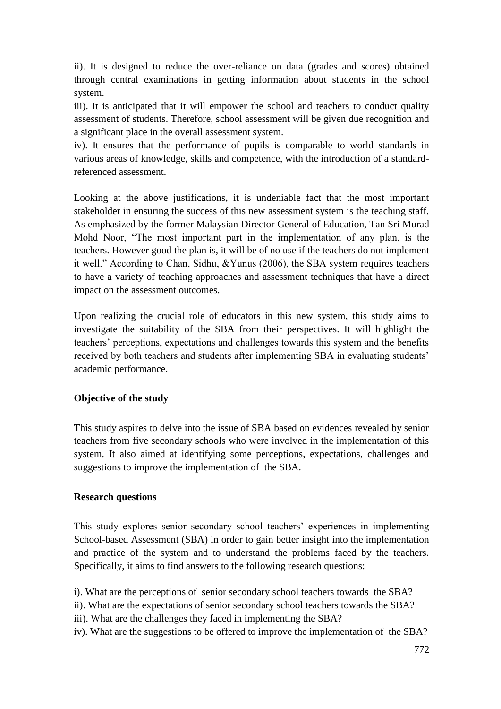ii). It is designed to reduce the over-reliance on data (grades and scores) obtained through central examinations in getting information about students in the school system.

iii). It is anticipated that it will empower the school and teachers to conduct quality assessment of students. Therefore, school assessment will be given due recognition and a significant place in the overall assessment system.

iv). It ensures that the performance of pupils is comparable to world standards in various areas of knowledge, skills and competence, with the introduction of a standardreferenced assessment.

Looking at the above justifications, it is undeniable fact that the most important stakeholder in ensuring the success of this new assessment system is the teaching staff. As emphasized by the former Malaysian Director General of Education, Tan Sri Murad Mohd Noor, "The most important part in the implementation of any plan, is the teachers. However good the plan is, it will be of no use if the teachers do not implement it well." According to Chan, Sidhu,  $&$ Yunus (2006), the SBA system requires teachers to have a variety of teaching approaches and assessment techniques that have a direct impact on the assessment outcomes.

Upon realizing the crucial role of educators in this new system, this study aims to investigate the suitability of the SBA from their perspectives. It will highlight the teachers' perceptions, expectations and challenges towards this system and the benefits received by both teachers and students after implementing SBA in evaluating students' academic performance.

#### **Objective of the study**

This study aspires to delve into the issue of SBA based on evidences revealed by senior teachers from five secondary schools who were involved in the implementation of this system. It also aimed at identifying some perceptions, expectations, challenges and suggestions to improve the implementation of the SBA.

#### **Research questions**

This study explores senior secondary school teachers' experiences in implementing School-based Assessment (SBA) in order to gain better insight into the implementation and practice of the system and to understand the problems faced by the teachers. Specifically, it aims to find answers to the following research questions:

i). What are the perceptions of senior secondary school teachers towards the SBA?

ii). What are the expectations of senior secondary school teachers towards the SBA?

iii). What are the challenges they faced in implementing the SBA?

iv). What are the suggestions to be offered to improve the implementation of the SBA?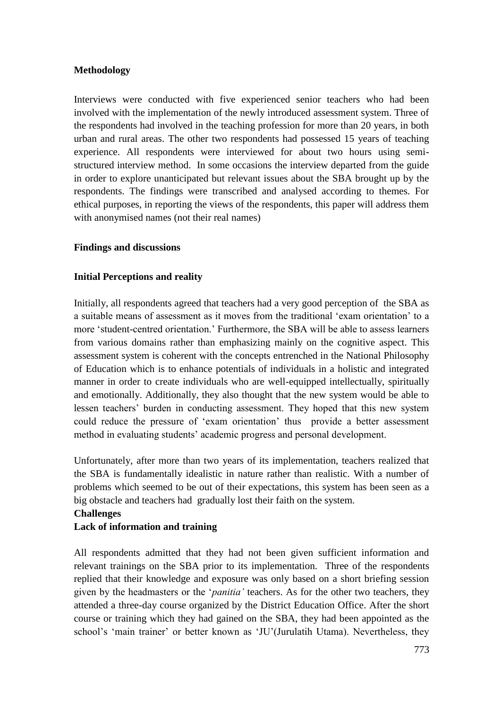#### **Methodology**

Interviews were conducted with five experienced senior teachers who had been involved with the implementation of the newly introduced assessment system. Three of the respondents had involved in the teaching profession for more than 20 years, in both urban and rural areas. The other two respondents had possessed 15 years of teaching experience. All respondents were interviewed for about two hours using semistructured interview method. In some occasions the interview departed from the guide in order to explore unanticipated but relevant issues about the SBA brought up by the respondents. The findings were transcribed and analysed according to themes. For ethical purposes, in reporting the views of the respondents, this paper will address them with anonymised names (not their real names)

#### **Findings and discussions**

#### **Initial Perceptions and reality**

Initially, all respondents agreed that teachers had a very good perception of the SBA as a suitable means of assessment as it moves from the traditional ‗exam orientation' to a more ‗student-centred orientation.' Furthermore, the SBA will be able to assess learners from various domains rather than emphasizing mainly on the cognitive aspect. This assessment system is coherent with the concepts entrenched in the National Philosophy of Education which is to enhance potentials of individuals in a holistic and integrated manner in order to create individuals who are well-equipped intellectually, spiritually and emotionally. Additionally, they also thought that the new system would be able to lessen teachers' burden in conducting assessment. They hoped that this new system could reduce the pressure of 'exam orientation' thus provide a better assessment method in evaluating students' academic progress and personal development.

Unfortunately, after more than two years of its implementation, teachers realized that the SBA is fundamentally idealistic in nature rather than realistic. With a number of problems which seemed to be out of their expectations, this system has been seen as a big obstacle and teachers had gradually lost their faith on the system.

#### **Challenges Lack of information and training**

All respondents admitted that they had not been given sufficient information and relevant trainings on the SBA prior to its implementation. Three of the respondents replied that their knowledge and exposure was only based on a short briefing session given by the headmasters or the *'panitia'* teachers. As for the other two teachers, they attended a three-day course organized by the District Education Office. After the short course or training which they had gained on the SBA, they had been appointed as the school's 'main trainer' or better known as 'JU'(Jurulatih Utama). Nevertheless, they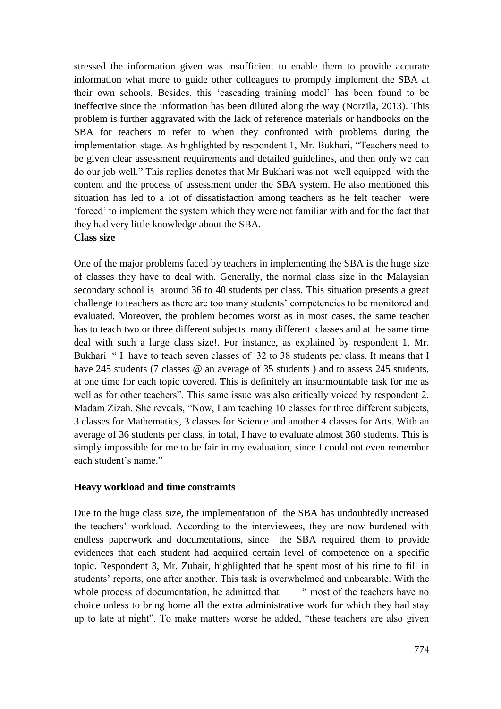stressed the information given was insufficient to enable them to provide accurate information what more to guide other colleagues to promptly implement the SBA at their own schools. Besides, this ‗cascading training model' has been found to be ineffective since the information has been diluted along the way (Norzila, 2013). This problem is further aggravated with the lack of reference materials or handbooks on the SBA for teachers to refer to when they confronted with problems during the implementation stage. As highlighted by respondent 1, Mr. Bukhari, "Teachers need to be given clear assessment requirements and detailed guidelines, and then only we can do our job well." This replies denotes that Mr Bukhari was not well equipped with the content and the process of assessment under the SBA system. He also mentioned this situation has led to a lot of dissatisfaction among teachers as he felt teacher were ‗forced' to implement the system which they were not familiar with and for the fact that they had very little knowledge about the SBA.

#### **Class size**

One of the major problems faced by teachers in implementing the SBA is the huge size of classes they have to deal with. Generally, the normal class size in the Malaysian secondary school is around 36 to 40 students per class. This situation presents a great challenge to teachers as there are too many students' competencies to be monitored and evaluated. Moreover, the problem becomes worst as in most cases, the same teacher has to teach two or three different subjects many different classes and at the same time deal with such a large class size!. For instance, as explained by respondent 1, Mr. Bukhari "I have to teach seven classes of 32 to 38 students per class. It means that I have 245 students (7 classes @ an average of 35 students) and to assess 245 students, at one time for each topic covered. This is definitely an insurmountable task for me as well as for other teachers". This same issue was also critically voiced by respondent 2, Madam Zizah. She reveals, "Now, I am teaching 10 classes for three different subjects, 3 classes for Mathematics, 3 classes for Science and another 4 classes for Arts. With an average of 36 students per class, in total, I have to evaluate almost 360 students. This is simply impossible for me to be fair in my evaluation, since I could not even remember each student's name."

#### **Heavy workload and time constraints**

Due to the huge class size, the implementation of the SBA has undoubtedly increased the teachers' workload. According to the interviewees, they are now burdened with endless paperwork and documentations, since the SBA required them to provide evidences that each student had acquired certain level of competence on a specific topic. Respondent 3, Mr. Zubair, highlighted that he spent most of his time to fill in students' reports, one after another. This task is overwhelmed and unbearable. With the whole process of documentation, he admitted that — "most of the teachers have no choice unless to bring home all the extra administrative work for which they had stay up to late at night". To make matters worse he added, "these teachers are also given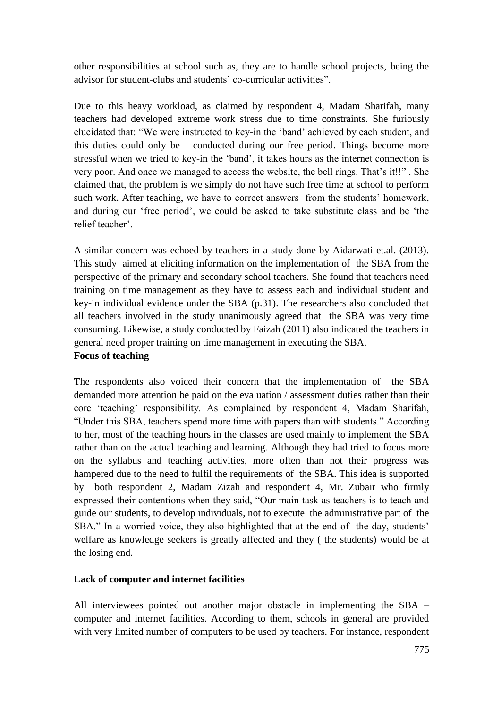other responsibilities at school such as, they are to handle school projects, being the advisor for student-clubs and students' co-curricular activities".

Due to this heavy workload, as claimed by respondent 4, Madam Sharifah, many teachers had developed extreme work stress due to time constraints. She furiously elucidated that: ―We were instructed to key-in the ‗band' achieved by each student, and this duties could only be conducted during our free period. Things become more stressful when we tried to key-in the 'band', it takes hours as the internet connection is very poor. And once we managed to access the website, the bell rings. That's it!!". She claimed that, the problem is we simply do not have such free time at school to perform such work. After teaching, we have to correct answers from the students' homework, and during our 'free period', we could be asked to take substitute class and be 'the relief teacher'.

A similar concern was echoed by teachers in a study done by Aidarwati et.al. (2013). This study aimed at eliciting information on the implementation of the SBA from the perspective of the primary and secondary school teachers. She found that teachers need training on time management as they have to assess each and individual student and key-in individual evidence under the SBA (p.31). The researchers also concluded that all teachers involved in the study unanimously agreed that the SBA was very time consuming. Likewise, a study conducted by Faizah (2011) also indicated the teachers in general need proper training on time management in executing the SBA. **Focus of teaching**

The respondents also voiced their concern that the implementation of the SBA demanded more attention be paid on the evaluation / assessment duties rather than their core 'teaching' responsibility. As complained by respondent 4, Madam Sharifah, "Under this SBA, teachers spend more time with papers than with students." According to her, most of the teaching hours in the classes are used mainly to implement the SBA rather than on the actual teaching and learning. Although they had tried to focus more on the syllabus and teaching activities, more often than not their progress was hampered due to the need to fulfil the requirements of the SBA. This idea is supported by both respondent 2, Madam Zizah and respondent 4, Mr. Zubair who firmly expressed their contentions when they said, "Our main task as teachers is to teach and guide our students, to develop individuals, not to execute the administrative part of the SBA." In a worried voice, they also highlighted that at the end of the day, students' welfare as knowledge seekers is greatly affected and they ( the students) would be at the losing end.

#### **Lack of computer and internet facilities**

All interviewees pointed out another major obstacle in implementing the SBA – computer and internet facilities. According to them, schools in general are provided with very limited number of computers to be used by teachers. For instance, respondent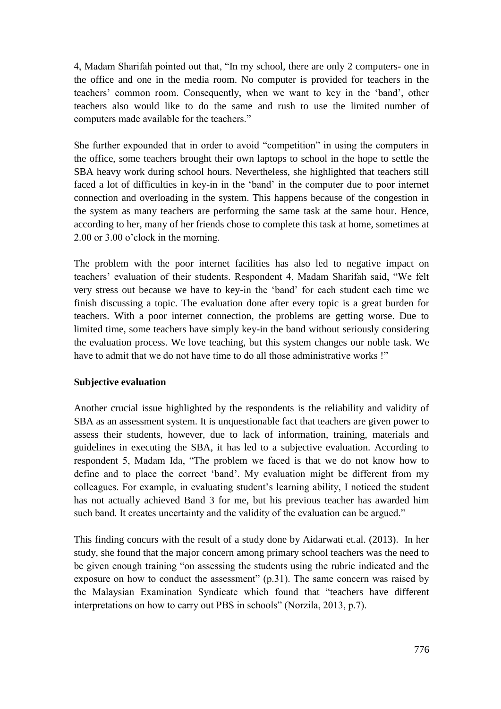4, Madam Sharifah pointed out that, "In my school, there are only 2 computers- one in the office and one in the media room. No computer is provided for teachers in the teachers' common room. Consequently, when we want to key in the 'band', other teachers also would like to do the same and rush to use the limited number of computers made available for the teachers."

She further expounded that in order to avoid "competition" in using the computers in the office, some teachers brought their own laptops to school in the hope to settle the SBA heavy work during school hours. Nevertheless, she highlighted that teachers still faced a lot of difficulties in key-in in the 'band' in the computer due to poor internet connection and overloading in the system. This happens because of the congestion in the system as many teachers are performing the same task at the same hour. Hence, according to her, many of her friends chose to complete this task at home, sometimes at 2.00 or 3.00 o'clock in the morning.

The problem with the poor internet facilities has also led to negative impact on teachers' evaluation of their students. Respondent 4, Madam Sharifah said, "We felt very stress out because we have to key-in the ‗band' for each student each time we finish discussing a topic. The evaluation done after every topic is a great burden for teachers. With a poor internet connection, the problems are getting worse. Due to limited time, some teachers have simply key-in the band without seriously considering the evaluation process. We love teaching, but this system changes our noble task. We have to admit that we do not have time to do all those administrative works !"

#### **Subjective evaluation**

Another crucial issue highlighted by the respondents is the reliability and validity of SBA as an assessment system. It is unquestionable fact that teachers are given power to assess their students, however, due to lack of information, training, materials and guidelines in executing the SBA, it has led to a subjective evaluation. According to respondent 5, Madam Ida, "The problem we faced is that we do not know how to define and to place the correct 'band'. My evaluation might be different from my colleagues. For example, in evaluating student's learning ability, I noticed the student has not actually achieved Band 3 for me, but his previous teacher has awarded him such band. It creates uncertainty and the validity of the evaluation can be argued."

This finding concurs with the result of a study done by Aidarwati et.al. (2013). In her study, she found that the major concern among primary school teachers was the need to be given enough training "on assessing the students using the rubric indicated and the exposure on how to conduct the assessment"  $(p.31)$ . The same concern was raised by the Malaysian Examination Syndicate which found that "teachers have different interpretations on how to carry out PBS in schools" (Norzila, 2013, p.7).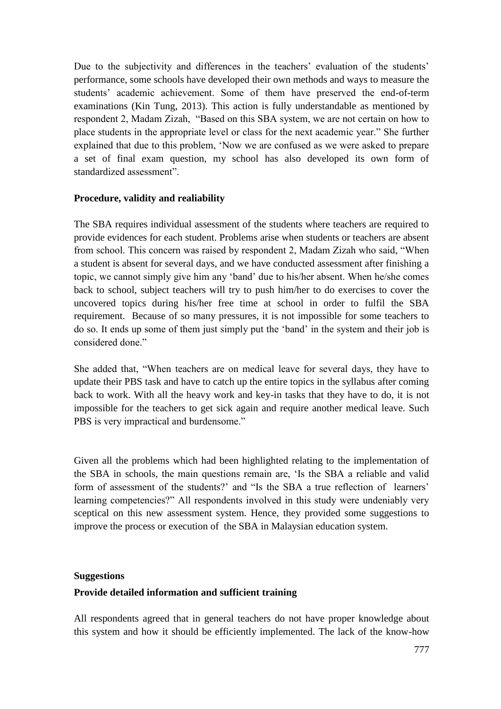Due to the subjectivity and differences in the teachers' evaluation of the students' performance, some schools have developed their own methods and ways to measure the students' academic achievement. Some of them have preserved the end-of-term examinations (Kin Tung, 2013). This action is fully understandable as mentioned by respondent 2, Madam Zizah, "Based on this SBA system, we are not certain on how to place students in the appropriate level or class for the next academic year." She further explained that due to this problem, 'Now we are confused as we were asked to prepare a set of final exam question, my school has also developed its own form of standardized assessment".

#### **Procedure, validity and realiability**

The SBA requires individual assessment of the students where teachers are required to provide evidences for each student. Problems arise when students or teachers are absent from school. This concern was raised by respondent 2, Madam Zizah who said, "When a student is absent for several days, and we have conducted assessment after finishing a topic, we cannot simply give him any 'band' due to his/her absent. When he/she comes back to school, subject teachers will try to push him/her to do exercises to cover the uncovered topics during his/her free time at school in order to fulfil the SBA requirement. Because of so many pressures, it is not impossible for some teachers to do so. It ends up some of them just simply put the 'band' in the system and their job is considered done."

She added that, "When teachers are on medical leave for several days, they have to update their PBS task and have to catch up the entire topics in the syllabus after coming back to work. With all the heavy work and key-in tasks that they have to do, it is not impossible for the teachers to get sick again and require another medical leave. Such PBS is very impractical and burdensome."

Given all the problems which had been highlighted relating to the implementation of the SBA in schools, the main questions remain are, 'Is the SBA a reliable and valid form of assessment of the students?' and "Is the SBA a true reflection of learners' learning competencies?" All respondents involved in this study were undeniably very sceptical on this new assessment system. Hence, they provided some suggestions to improve the process or execution of the SBA in Malaysian education system.

#### **Suggestions**

#### **Provide detailed information and sufficient training**

All respondents agreed that in general teachers do not have proper knowledge about this system and how it should be efficiently implemented. The lack of the know-how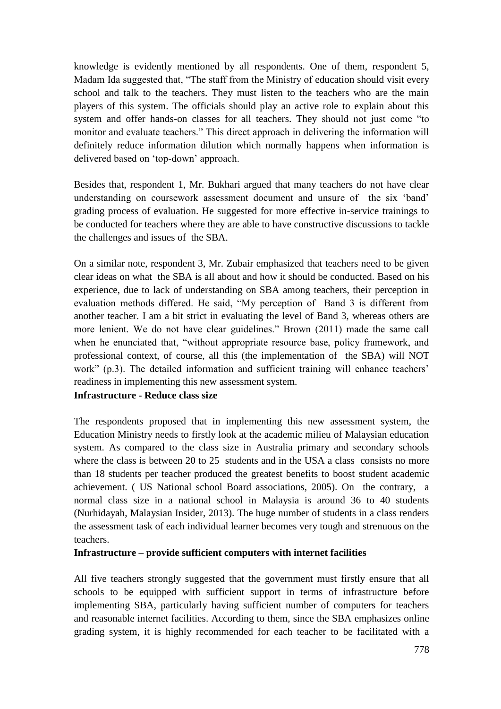knowledge is evidently mentioned by all respondents. One of them, respondent 5, Madam Ida suggested that, "The staff from the Ministry of education should visit every school and talk to the teachers. They must listen to the teachers who are the main players of this system. The officials should play an active role to explain about this system and offer hands-on classes for all teachers. They should not just come "to monitor and evaluate teachers." This direct approach in delivering the information will definitely reduce information dilution which normally happens when information is delivered based on 'top-down' approach.

Besides that, respondent 1, Mr. Bukhari argued that many teachers do not have clear understanding on coursework assessment document and unsure of the six 'band' grading process of evaluation. He suggested for more effective in-service trainings to be conducted for teachers where they are able to have constructive discussions to tackle the challenges and issues of the SBA.

On a similar note, respondent 3, Mr. Zubair emphasized that teachers need to be given clear ideas on what the SBA is all about and how it should be conducted. Based on his experience, due to lack of understanding on SBA among teachers, their perception in evaluation methods differed. He said, "My perception of Band 3 is different from another teacher. I am a bit strict in evaluating the level of Band 3, whereas others are more lenient. We do not have clear guidelines." Brown (2011) made the same call when he enunciated that, "without appropriate resource base, policy framework, and professional context, of course, all this (the implementation of the SBA) will NOT work" (p.3). The detailed information and sufficient training will enhance teachers' readiness in implementing this new assessment system.

#### **Infrastructure - Reduce class size**

The respondents proposed that in implementing this new assessment system, the Education Ministry needs to firstly look at the academic milieu of Malaysian education system. As compared to the class size in Australia primary and secondary schools where the class is between 20 to 25 students and in the USA a class consists no more than 18 students per teacher produced the greatest benefits to boost student academic achievement. ( US National school Board associations, 2005). On the contrary, a normal class size in a national school in Malaysia is around 36 to 40 students (Nurhidayah, Malaysian Insider, 2013). The huge number of students in a class renders the assessment task of each individual learner becomes very tough and strenuous on the teachers.

#### **Infrastructure – provide sufficient computers with internet facilities**

All five teachers strongly suggested that the government must firstly ensure that all schools to be equipped with sufficient support in terms of infrastructure before implementing SBA, particularly having sufficient number of computers for teachers and reasonable internet facilities. According to them, since the SBA emphasizes online grading system, it is highly recommended for each teacher to be facilitated with a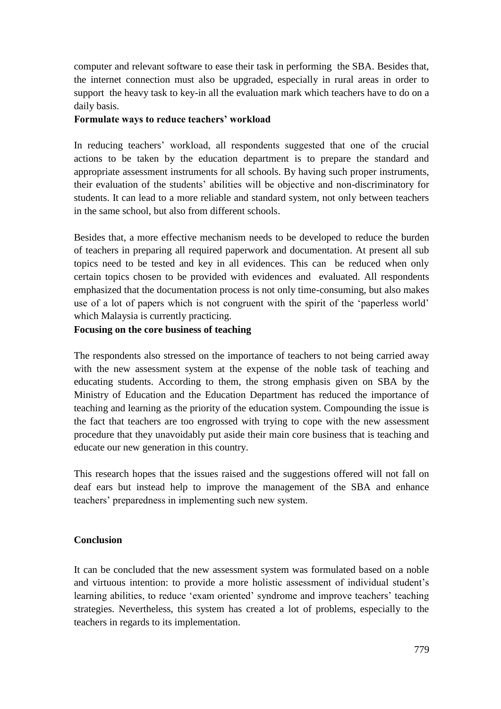computer and relevant software to ease their task in performing the SBA. Besides that, the internet connection must also be upgraded, especially in rural areas in order to support the heavy task to key-in all the evaluation mark which teachers have to do on a daily basis.

#### **Formulate ways to reduce teachers" workload**

In reducing teachers' workload, all respondents suggested that one of the crucial actions to be taken by the education department is to prepare the standard and appropriate assessment instruments for all schools. By having such proper instruments, their evaluation of the students' abilities will be objective and non-discriminatory for students. It can lead to a more reliable and standard system, not only between teachers in the same school, but also from different schools.

Besides that, a more effective mechanism needs to be developed to reduce the burden of teachers in preparing all required paperwork and documentation. At present all sub topics need to be tested and key in all evidences. This can be reduced when only certain topics chosen to be provided with evidences and evaluated. All respondents emphasized that the documentation process is not only time-consuming, but also makes use of a lot of papers which is not congruent with the spirit of the 'paperless world' which Malaysia is currently practicing.

#### **Focusing on the core business of teaching**

The respondents also stressed on the importance of teachers to not being carried away with the new assessment system at the expense of the noble task of teaching and educating students. According to them, the strong emphasis given on SBA by the Ministry of Education and the Education Department has reduced the importance of teaching and learning as the priority of the education system. Compounding the issue is the fact that teachers are too engrossed with trying to cope with the new assessment procedure that they unavoidably put aside their main core business that is teaching and educate our new generation in this country.

This research hopes that the issues raised and the suggestions offered will not fall on deaf ears but instead help to improve the management of the SBA and enhance teachers' preparedness in implementing such new system.

#### **Conclusion**

It can be concluded that the new assessment system was formulated based on a noble and virtuous intention: to provide a more holistic assessment of individual student's learning abilities, to reduce 'exam oriented' syndrome and improve teachers' teaching strategies. Nevertheless, this system has created a lot of problems, especially to the teachers in regards to its implementation.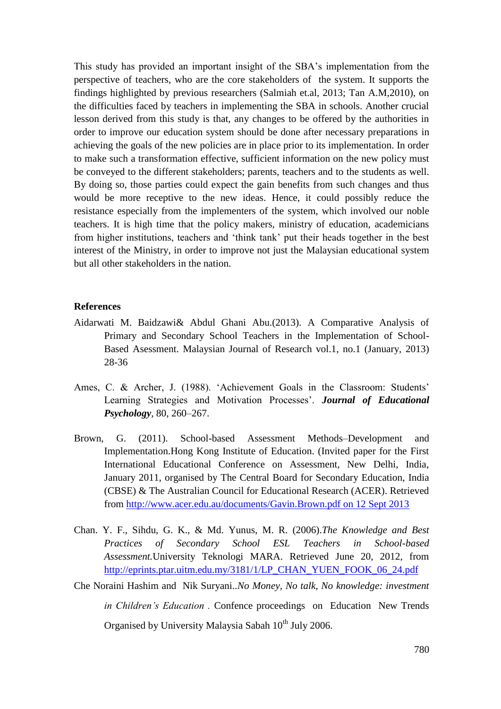This study has provided an important insight of the SBA's implementation from the perspective of teachers, who are the core stakeholders of the system. It supports the findings highlighted by previous researchers (Salmiah et.al, 2013; Tan A.M,2010), on the difficulties faced by teachers in implementing the SBA in schools. Another crucial lesson derived from this study is that, any changes to be offered by the authorities in order to improve our education system should be done after necessary preparations in achieving the goals of the new policies are in place prior to its implementation. In order to make such a transformation effective, sufficient information on the new policy must be conveyed to the different stakeholders; parents, teachers and to the students as well. By doing so, those parties could expect the gain benefits from such changes and thus would be more receptive to the new ideas. Hence, it could possibly reduce the resistance especially from the implementers of the system, which involved our noble teachers. It is high time that the policy makers, ministry of education, academicians from higher institutions, teachers and 'think tank' put their heads together in the best interest of the Ministry, in order to improve not just the Malaysian educational system but all other stakeholders in the nation.

#### **References**

- Aidarwati M. Baidzawi& Abdul Ghani Abu.(2013). A Comparative Analysis of Primary and Secondary School Teachers in the Implementation of School-Based Asessment. Malaysian Journal of Research vol.1, no.1 (January, 2013) 28-36
- Ames, C. & Archer, J. (1988). 'Achievement Goals in the Classroom: Students' Learning Strategies and Motivation Processes'. *Journal of Educational Psychology*, 80, 260–267.
- Brown, G. (2011). School-based Assessment Methods–Development and Implementation.Hong Kong Institute of Education. (Invited paper for the First International Educational Conference on Assessment, New Delhi, India, January 2011, organised by The Central Board for Secondary Education, India (CBSE) & The Australian Council for Educational Research (ACER). Retrieved from [http://www.acer.edu.au/documents/Gavin.Brown.pdf on 12 Sept 2013](http://www.acer.edu.au/documents/Gavin.Brown.pdf%20on%2012%20Sept%202013)
- Chan. Y. F., Sihdu, G. K., & Md. Yunus, M. R. (2006).*The Knowledge and Best Practices of Secondary School ESL Teachers in School-based Assessment.*University Teknologi MARA. Retrieved June 20, 2012, from [http://eprints.ptar.uitm.edu.my/3181/1/LP\\_CHAN\\_YUEN\\_FOOK\\_06\\_24.pdf](http://eprints.ptar.uitm.edu.my/3181/1/LP_CHAN_YUEN_FOOK_06_24.pdf)
- Che Noraini Hashim and Nik Suryani..*No Money, No talk, No knowledge: investment*

*in Children"s Education .* Confence proceedings on Education New Trends Organised by University Malaysia Sabah  $10^{th}$  July 2006.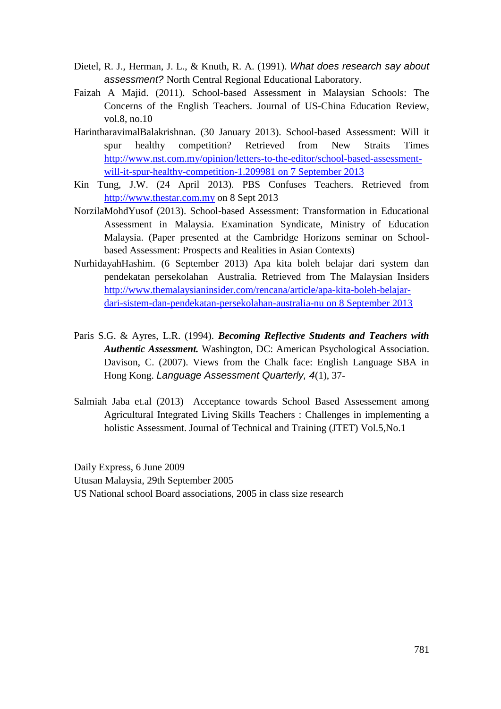- Dietel, R. J., Herman, J. L., & Knuth, R. A. (1991). *What does research say about assessment?* North Central Regional Educational Laboratory.
- Faizah A Majid. (2011). School-based Assessment in Malaysian Schools: The Concerns of the English Teachers. Journal of US-China Education Review, vol.8, no.10
- HarintharavimalBalakrishnan. (30 January 2013). School-based Assessment: Will it spur healthy competition? Retrieved from New Straits Times [http://www.nst.com.my/opinion/letters-to-the-editor/school-based-assessment](http://www.nst.com.my/opinion/letters-to-the-editor/school-based-assessment-will-it-spur-healthy-competition-1.209981%20on%207%20September%202013)[will-it-spur-healthy-competition-1.209981 on 7 September 2013](http://www.nst.com.my/opinion/letters-to-the-editor/school-based-assessment-will-it-spur-healthy-competition-1.209981%20on%207%20September%202013)
- Kin Tung, J.W. (24 April 2013). PBS Confuses Teachers. Retrieved from [http://www.thestar.com.my](http://www.thestar.com.my/) on 8 Sept 2013
- NorzilaMohdYusof (2013). School-based Assessment: Transformation in Educational Assessment in Malaysia. Examination Syndicate, Ministry of Education Malaysia. (Paper presented at the Cambridge Horizons seminar on Schoolbased Assessment: Prospects and Realities in Asian Contexts)
- NurhidayahHashim. (6 September 2013) Apa kita boleh belajar dari system dan pendekatan persekolahan Australia. Retrieved from The Malaysian Insiders [http://www.themalaysianinsider.com/rencana/article/apa-kita-boleh-belajar](http://www.themalaysianinsider.com/rencana/article/apa-kita-boleh-belajar-dari-sistem-dan-pendekatan-persekolahan-australia-nu%20on%208%20September%202013)[dari-sistem-dan-pendekatan-persekolahan-australia-nu on 8 September 2013](http://www.themalaysianinsider.com/rencana/article/apa-kita-boleh-belajar-dari-sistem-dan-pendekatan-persekolahan-australia-nu%20on%208%20September%202013)
- Paris S.G. & Ayres, L.R. (1994). *Becoming Reflective Students and Teachers with Authentic Assessment.* Washington, DC: American Psychological Association. Davison, C. (2007). Views from the Chalk face: English Language SBA in Hong Kong. *Language Assessment Quarterly, 4*(1), 37-
- Salmiah Jaba et.al (2013) Acceptance towards School Based Assessement among Agricultural Integrated Living Skills Teachers : Challenges in implementing a holistic Assessment. Journal of Technical and Training (JTET) Vol.5,No.1

Daily Express, 6 June 2009 Utusan Malaysia, 29th September 2005 US National school Board associations, 2005 in class size research